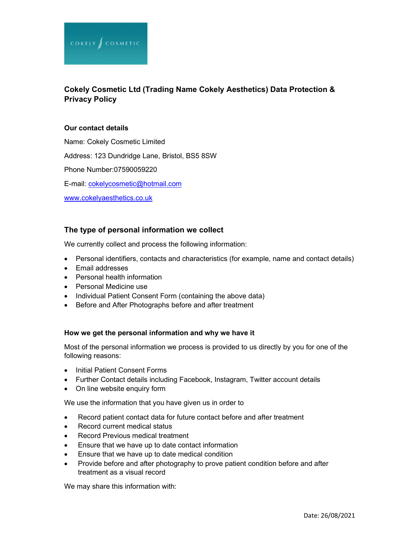

# Cokely Cosmetic Ltd (Trading Name Cokely Aesthetics) Data Protection & Privacy Policy

### Our contact details

Name: Cokely Cosmetic Limited Address: 123 Dundridge Lane, Bristol, BS5 8SW Phone Number:07590059220 E-mail: cokelycosmetic@hotmail.com www.cokelyaesthetics.co.uk

## The type of personal information we collect

We currently collect and process the following information:

- Personal identifiers, contacts and characteristics (for example, name and contact details)
- Email addresses
- Personal health information
- Personal Medicine use
- Individual Patient Consent Form (containing the above data)
- Before and After Photographs before and after treatment

#### How we get the personal information and why we have it

Most of the personal information we process is provided to us directly by you for one of the following reasons:

- Initial Patient Consent Forms
- Further Contact details including Facebook, Instagram, Twitter account details
- On line website enquiry form

We use the information that you have given us in order to

- Record patient contact data for future contact before and after treatment
- Record current medical status
- Record Previous medical treatment
- Ensure that we have up to date contact information
- Ensure that we have up to date medical condition
- Provide before and after photography to prove patient condition before and after treatment as a visual record

We may share this information with: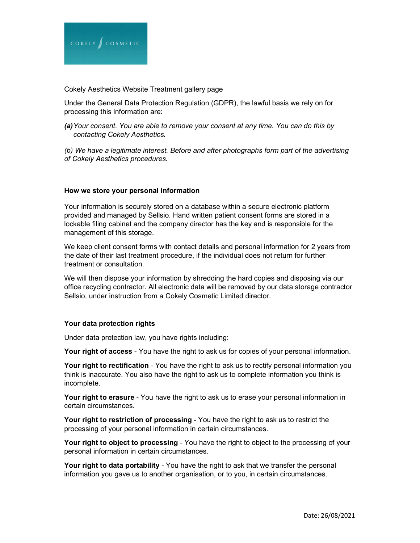

Cokely Aesthetics Website Treatment gallery page

Under the General Data Protection Regulation (GDPR), the lawful basis we rely on for processing this information are:

(a) Your consent. You are able to remove your consent at any time. You can do this by contacting Cokely Aesthetics.

(b) We have a legitimate interest. Before and after photographs form part of the advertising of Cokely Aesthetics procedures.

#### How we store your personal information

Your information is securely stored on a database within a secure electronic platform provided and managed by Sellsio. Hand written patient consent forms are stored in a lockable filing cabinet and the company director has the key and is responsible for the management of this storage.

We keep client consent forms with contact details and personal information for 2 years from the date of their last treatment procedure, if the individual does not return for further treatment or consultation.

We will then dispose your information by shredding the hard copies and disposing via our office recycling contractor. All electronic data will be removed by our data storage contractor Sellsio, under instruction from a Cokely Cosmetic Limited director.

#### Your data protection rights

Under data protection law, you have rights including:

Your right of access - You have the right to ask us for copies of your personal information.

Your right to rectification - You have the right to ask us to rectify personal information you think is inaccurate. You also have the right to ask us to complete information you think is incomplete.

Your right to erasure - You have the right to ask us to erase your personal information in certain circumstances.

Your right to restriction of processing - You have the right to ask us to restrict the processing of your personal information in certain circumstances.

Your right to object to processing - You have the right to object to the processing of your personal information in certain circumstances.

Your right to data portability - You have the right to ask that we transfer the personal information you gave us to another organisation, or to you, in certain circumstances.